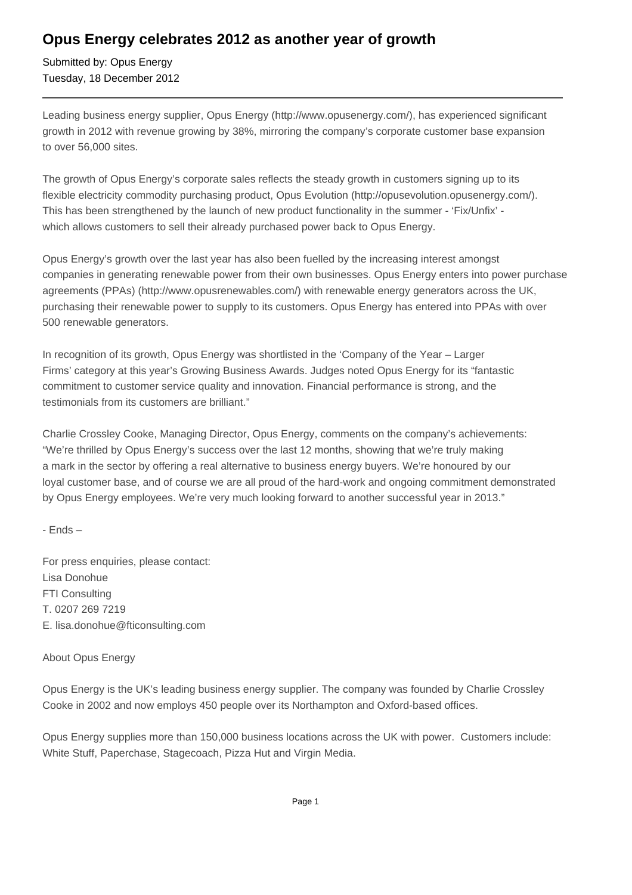## **Opus Energy celebrates 2012 as another year of growth**

Submitted by: Opus Energy Tuesday, 18 December 2012

Leading business energy supplier, Opus Energy (http://www.opusenergy.com/), has experienced significant growth in 2012 with revenue growing by 38%, mirroring the company's corporate customer base expansion to over 56,000 sites.

The growth of Opus Energy's corporate sales reflects the steady growth in customers signing up to its flexible electricity commodity purchasing product, Opus Evolution (http://opusevolution.opusenergy.com/). This has been strengthened by the launch of new product functionality in the summer - 'Fix/Unfix' which allows customers to sell their already purchased power back to Opus Energy.

Opus Energy's growth over the last year has also been fuelled by the increasing interest amongst companies in generating renewable power from their own businesses. Opus Energy enters into power purchase agreements (PPAs) (http://www.opusrenewables.com/) with renewable energy generators across the UK, purchasing their renewable power to supply to its customers. Opus Energy has entered into PPAs with over 500 renewable generators.

In recognition of its growth, Opus Energy was shortlisted in the 'Company of the Year – Larger Firms' category at this year's Growing Business Awards. Judges noted Opus Energy for its "fantastic commitment to customer service quality and innovation. Financial performance is strong, and the testimonials from its customers are brilliant."

Charlie Crossley Cooke, Managing Director, Opus Energy, comments on the company's achievements: "We're thrilled by Opus Energy's success over the last 12 months, showing that we're truly making a mark in the sector by offering a real alternative to business energy buyers. We're honoured by our loyal customer base, and of course we are all proud of the hard-work and ongoing commitment demonstrated by Opus Energy employees. We're very much looking forward to another successful year in 2013."

- Ends –

For press enquiries, please contact: Lisa Donohue FTI Consulting T. 0207 269 7219 E. lisa.donohue@fticonsulting.com

## About Opus Energy

Opus Energy is the UK's leading business energy supplier. The company was founded by Charlie Crossley Cooke in 2002 and now employs 450 people over its Northampton and Oxford-based offices.

Opus Energy supplies more than 150,000 business locations across the UK with power. Customers include: White Stuff, Paperchase, Stagecoach, Pizza Hut and Virgin Media.